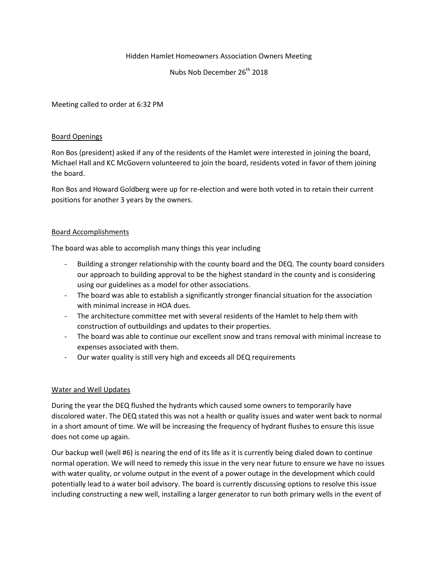### Hidden Hamlet Homeowners Association Owners Meeting

Nubs Nob December 26<sup>th</sup> 2018

Meeting called to order at 6:32 PM

#### Board Openings

Ron Bos (president) asked if any of the residents of the Hamlet were interested in joining the board, Michael Hall and KC McGovern volunteered to join the board, residents voted in favor of them joining the board.

Ron Bos and Howard Goldberg were up for re-election and were both voted in to retain their current positions for another 3 years by the owners.

#### Board Accomplishments

The board was able to accomplish many things this year including

- Building a stronger relationship with the county board and the DEQ. The county board considers our approach to building approval to be the highest standard in the county and is considering using our guidelines as a model for other associations.
- The board was able to establish a significantly stronger financial situation for the association with minimal increase in HOA dues.
- The architecture committee met with several residents of the Hamlet to help them with construction of outbuildings and updates to their properties.
- The board was able to continue our excellent snow and trans removal with minimal increase to expenses associated with them.
- Our water quality is still very high and exceeds all DEQ requirements

### Water and Well Updates

During the year the DEQ flushed the hydrants which caused some owners to temporarily have discolored water. The DEQ stated this was not a health or quality issues and water went back to normal in a short amount of time. We will be increasing the frequency of hydrant flushes to ensure this issue does not come up again.

Our backup well (well #6) is nearing the end of its life as it is currently being dialed down to continue normal operation. We will need to remedy this issue in the very near future to ensure we have no issues with water quality, or volume output in the event of a power outage in the development which could potentially lead to a water boil advisory. The board is currently discussing options to resolve this issue including constructing a new well, installing a larger generator to run both primary wells in the event of